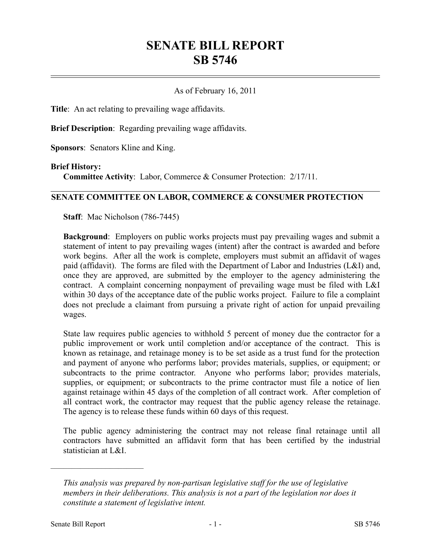## **SENATE BILL REPORT SB 5746**

## As of February 16, 2011

**Title**: An act relating to prevailing wage affidavits.

**Brief Description**: Regarding prevailing wage affidavits.

**Sponsors**: Senators Kline and King.

## **Brief History:**

**Committee Activity**: Labor, Commerce & Consumer Protection: 2/17/11.

## **SENATE COMMITTEE ON LABOR, COMMERCE & CONSUMER PROTECTION**

**Staff**: Mac Nicholson (786-7445)

**Background**: Employers on public works projects must pay prevailing wages and submit a statement of intent to pay prevailing wages (intent) after the contract is awarded and before work begins. After all the work is complete, employers must submit an affidavit of wages paid (affidavit). The forms are filed with the Department of Labor and Industries (L&I) and, once they are approved, are submitted by the employer to the agency administering the contract. A complaint concerning nonpayment of prevailing wage must be filed with L&I within 30 days of the acceptance date of the public works project. Failure to file a complaint does not preclude a claimant from pursuing a private right of action for unpaid prevailing wages.

State law requires public agencies to withhold 5 percent of money due the contractor for a public improvement or work until completion and/or acceptance of the contract. This is known as retainage, and retainage money is to be set aside as a trust fund for the protection and payment of anyone who performs labor; provides materials, supplies, or equipment; or subcontracts to the prime contractor. Anyone who performs labor; provides materials, supplies, or equipment; or subcontracts to the prime contractor must file a notice of lien against retainage within 45 days of the completion of all contract work. After completion of all contract work, the contractor may request that the public agency release the retainage. The agency is to release these funds within 60 days of this request.

The public agency administering the contract may not release final retainage until all contractors have submitted an affidavit form that has been certified by the industrial statistician at L&I.

––––––––––––––––––––––

*This analysis was prepared by non-partisan legislative staff for the use of legislative members in their deliberations. This analysis is not a part of the legislation nor does it constitute a statement of legislative intent.*